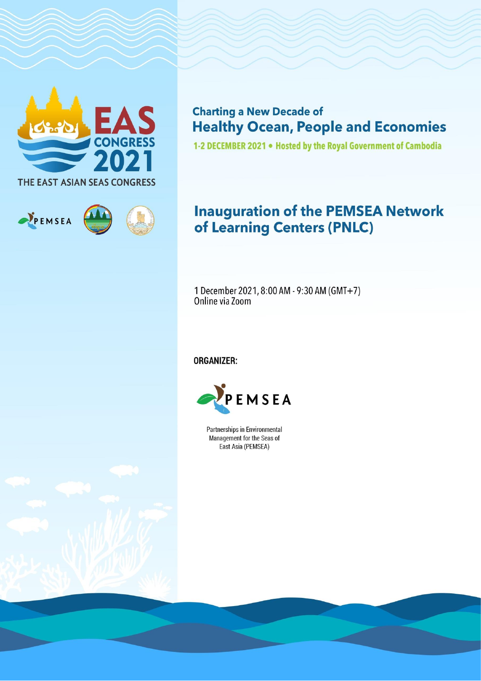

PEMSEA

**Charting a New Decade of Healthy Ocean, People and Economies** 

1-2 DECEMBER 2021 . Hosted by the Royal Government of Cambodia

# **Inauguration of the PEMSEA Network** of Learning Centers (PNLC)

1 December 2021, 8:00 AM - 9:30 AM (GMT+7) Online via Zoom

**ORGANIZER:** 



**Partnerships in Environmental** Management for the Seas of East Asia (PEMSEA)

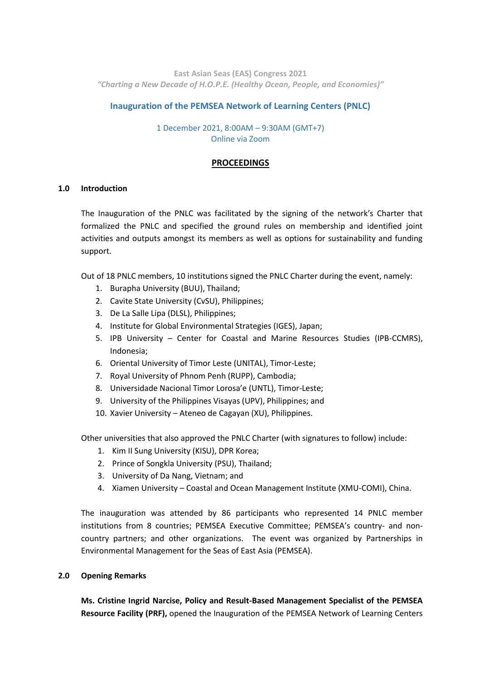**East Asian Seas (EAS) Congress 2021** *"Charting a New Decade of H.O.P.E. (Healthy Ocean, People, and Economies)"*

## **Inauguration of the PEMSEA Network of Learning Centers (PNLC)**

## 1 December 2021, 8:00AM – 9:30AM (GMT+7) Online via Zoom

## **PROCEEDINGS**

#### **1.0 Introduction**

The Inauguration of the PNLC was facilitated by the signing of the network's Charter that formalized the PNLC and specified the ground rules on membership and identified joint activities and outputs amongst its members as well as options for sustainability and funding support.

Out of 18 PNLC members, 10 institutions signed the PNLC Charter during the event, namely:

- 1. Burapha University (BUU), Thailand;
- 2. Cavite State University (CvSU), Philippines;
- 3. De La Salle Lipa (DLSL), Philippines;
- 4. Institute for Global Environmental Strategies (IGES), Japan;
- 5. IPB University Center for Coastal and Marine Resources Studies (IPB-CCMRS), Indonesia;
- 6. Oriental University of Timor Leste (UNITAL), Timor-Leste;
- 7. Royal University of Phnom Penh (RUPP), Cambodia;
- 8. Universidade Nacional Timor Lorosa'e (UNTL), Timor-Leste;
- 9. University of the Philippines Visayas (UPV), Philippines; and
- 10. Xavier University Ateneo de Cagayan (XU), Philippines.

Other universities that also approved the PNLC Charter (with signatures to follow) include:

- 1. Kim II Sung University (KISU), DPR Korea;
- 2. Prince of Songkla University (PSU), Thailand;
- 3. University of Da Nang, Vietnam; and
- 4. Xiamen University Coastal and Ocean Management Institute (XMU-COMI), China.

The inauguration was attended by 86 participants who represented 14 PNLC member institutions from 8 countries; PEMSEA Executive Committee; PEMSEA's country- and noncountry partners; and other organizations. The event was organized by Partnerships in Environmental Management for the Seas of East Asia (PEMSEA).

#### **2.0 Opening Remarks**

**Ms. Cristine Ingrid Narcise, Policy and Result-Based Management Specialist of the PEMSEA Resource Facility (PRF),** opened the Inauguration of the PEMSEA Network of Learning Centers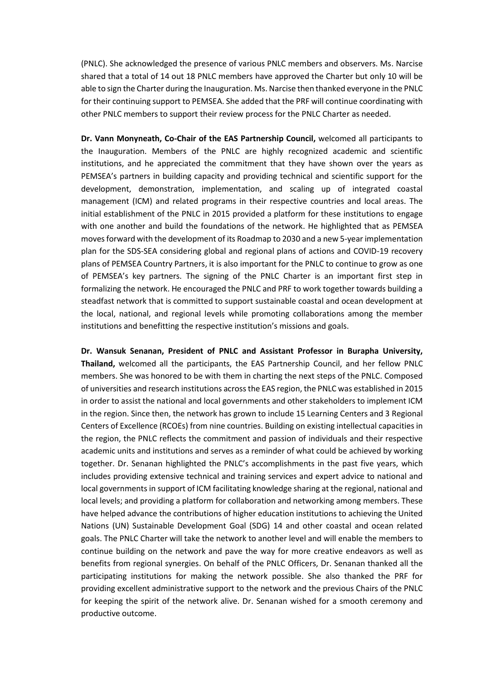(PNLC). She acknowledged the presence of various PNLC members and observers. Ms. Narcise shared that a total of 14 out 18 PNLC members have approved the Charter but only 10 will be able to sign the Charter during the Inauguration. Ms. Narcise then thanked everyone in the PNLC for their continuing support to PEMSEA. She added that the PRF will continue coordinating with other PNLC members to support their review process for the PNLC Charter as needed.

**Dr. Vann Monyneath, Co-Chair of the EAS Partnership Council,** welcomed all participants to the Inauguration. Members of the PNLC are highly recognized academic and scientific institutions, and he appreciated the commitment that they have shown over the years as PEMSEA's partners in building capacity and providing technical and scientific support for the development, demonstration, implementation, and scaling up of integrated coastal management (ICM) and related programs in their respective countries and local areas. The initial establishment of the PNLC in 2015 provided a platform for these institutions to engage with one another and build the foundations of the network. He highlighted that as PEMSEA moves forward with the development of its Roadmap to 2030 and a new 5-year implementation plan for the SDS-SEA considering global and regional plans of actions and COVID-19 recovery plans of PEMSEA Country Partners, it is also important for the PNLC to continue to grow as one of PEMSEA's key partners. The signing of the PNLC Charter is an important first step in formalizing the network. He encouraged the PNLC and PRF to work together towards building a steadfast network that is committed to support sustainable coastal and ocean development at the local, national, and regional levels while promoting collaborations among the member institutions and benefitting the respective institution's missions and goals.

**Dr. Wansuk Senanan, President of PNLC and Assistant Professor in Burapha University, Thailand,** welcomed all the participants, the EAS Partnership Council, and her fellow PNLC members. She was honored to be with them in charting the next steps of the PNLC. Composed of universities and research institutions across the EAS region, the PNLC was established in 2015 in order to assist the national and local governments and other stakeholders to implement ICM in the region. Since then, the network has grown to include 15 Learning Centers and 3 Regional Centers of Excellence (RCOEs) from nine countries. Building on existing intellectual capacities in the region, the PNLC reflects the commitment and passion of individuals and their respective academic units and institutions and serves as a reminder of what could be achieved by working together. Dr. Senanan highlighted the PNLC's accomplishments in the past five years, which includes providing extensive technical and training services and expert advice to national and local governments in support of ICM facilitating knowledge sharing at the regional, national and local levels; and providing a platform for collaboration and networking among members. These have helped advance the contributions of higher education institutions to achieving the United Nations (UN) Sustainable Development Goal (SDG) 14 and other coastal and ocean related goals. The PNLC Charter will take the network to another level and will enable the members to continue building on the network and pave the way for more creative endeavors as well as benefits from regional synergies. On behalf of the PNLC Officers, Dr. Senanan thanked all the participating institutions for making the network possible. She also thanked the PRF for providing excellent administrative support to the network and the previous Chairs of the PNLC for keeping the spirit of the network alive. Dr. Senanan wished for a smooth ceremony and productive outcome.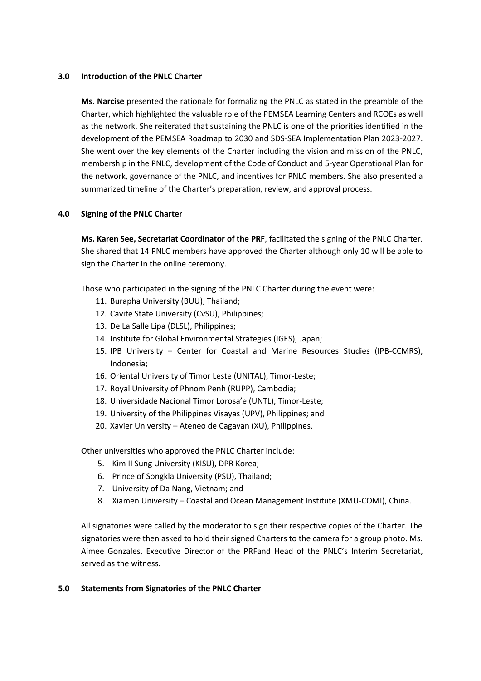#### **3.0 Introduction of the PNLC Charter**

**Ms. Narcise** presented the rationale for formalizing the PNLC as stated in the preamble of the Charter, which highlighted the valuable role of the PEMSEA Learning Centers and RCOEs as well as the network. She reiterated that sustaining the PNLC is one of the priorities identified in the development of the PEMSEA Roadmap to 2030 and SDS-SEA Implementation Plan 2023-2027. She went over the key elements of the Charter including the vision and mission of the PNLC, membership in the PNLC, development of the Code of Conduct and 5-year Operational Plan for the network, governance of the PNLC, and incentives for PNLC members. She also presented a summarized timeline of the Charter's preparation, review, and approval process.

## **4.0 Signing of the PNLC Charter**

**Ms. Karen See, Secretariat Coordinator of the PRF**, facilitated the signing of the PNLC Charter. She shared that 14 PNLC members have approved the Charter although only 10 will be able to sign the Charter in the online ceremony.

Those who participated in the signing of the PNLC Charter during the event were:

- 11. Burapha University (BUU), Thailand;
- 12. Cavite State University (CvSU), Philippines;
- 13. De La Salle Lipa (DLSL), Philippines;
- 14. Institute for Global Environmental Strategies (IGES), Japan;
- 15. IPB University Center for Coastal and Marine Resources Studies (IPB-CCMRS), Indonesia;
- 16. Oriental University of Timor Leste (UNITAL), Timor-Leste;
- 17. Royal University of Phnom Penh (RUPP), Cambodia;
- 18. Universidade Nacional Timor Lorosa'e (UNTL), Timor-Leste;
- 19. University of the Philippines Visayas (UPV), Philippines; and
- 20. Xavier University Ateneo de Cagayan (XU), Philippines.

Other universities who approved the PNLC Charter include:

- 5. Kim II Sung University (KISU), DPR Korea;
- 6. Prince of Songkla University (PSU), Thailand;
- 7. University of Da Nang, Vietnam; and
- 8. Xiamen University Coastal and Ocean Management Institute (XMU-COMI), China.

All signatories were called by the moderator to sign their respective copies of the Charter. The signatories were then asked to hold their signed Charters to the camera for a group photo. Ms. Aimee Gonzales, Executive Director of the PRFand Head of the PNLC's Interim Secretariat, served as the witness.

#### **5.0 Statements from Signatories of the PNLC Charter**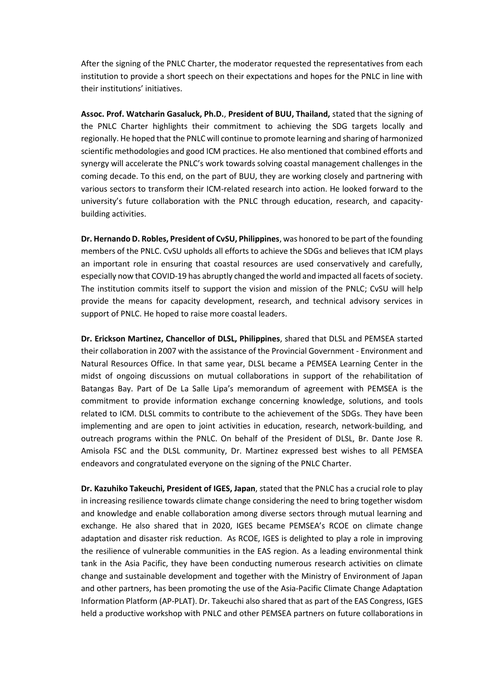After the signing of the PNLC Charter, the moderator requested the representatives from each institution to provide a short speech on their expectations and hopes for the PNLC in line with their institutions' initiatives.

**Assoc. Prof. Watcharin Gasaluck, Ph.D.**, **President of BUU, Thailand,** stated that the signing of the PNLC Charter highlights their commitment to achieving the SDG targets locally and regionally. He hoped that the PNLC will continue to promote learning and sharing of harmonized scientific methodologies and good ICM practices. He also mentioned that combined efforts and synergy will accelerate the PNLC's work towards solving coastal management challenges in the coming decade. To this end, on the part of BUU, they are working closely and partnering with various sectors to transform their ICM-related research into action. He looked forward to the university's future collaboration with the PNLC through education, research, and capacitybuilding activities.

**Dr. Hernando D. Robles, President of CvSU, Philippines**, was honored to be part of the founding members of the PNLC. CvSU upholds all efforts to achieve the SDGs and believes that ICM plays an important role in ensuring that coastal resources are used conservatively and carefully, especially now that COVID-19 has abruptly changed the world and impacted all facets of society. The institution commits itself to support the vision and mission of the PNLC; CvSU will help provide the means for capacity development, research, and technical advisory services in support of PNLC. He hoped to raise more coastal leaders.

**Dr. Erickson Martinez, Chancellor of DLSL, Philippines**, shared that DLSL and PEMSEA started their collaboration in 2007 with the assistance of the Provincial Government - Environment and Natural Resources Office. In that same year, DLSL became a PEMSEA Learning Center in the midst of ongoing discussions on mutual collaborations in support of the rehabilitation of Batangas Bay. Part of De La Salle Lipa's memorandum of agreement with PEMSEA is the commitment to provide information exchange concerning knowledge, solutions, and tools related to ICM. DLSL commits to contribute to the achievement of the SDGs. They have been implementing and are open to joint activities in education, research, network-building, and outreach programs within the PNLC. On behalf of the President of DLSL, Br. Dante Jose R. Amisola FSC and the DLSL community, Dr. Martinez expressed best wishes to all PEMSEA endeavors and congratulated everyone on the signing of the PNLC Charter.

**Dr. Kazuhiko Takeuchi, President of IGES, Japan**, stated that the PNLC has a crucial role to play in increasing resilience towards climate change considering the need to bring together wisdom and knowledge and enable collaboration among diverse sectors through mutual learning and exchange. He also shared that in 2020, IGES became PEMSEA's RCOE on climate change adaptation and disaster risk reduction. As RCOE, IGES is delighted to play a role in improving the resilience of vulnerable communities in the EAS region. As a leading environmental think tank in the Asia Pacific, they have been conducting numerous research activities on climate change and sustainable development and together with the Ministry of Environment of Japan and other partners, has been promoting the use of the Asia-Pacific Climate Change Adaptation Information Platform (AP-PLAT). Dr. Takeuchi also shared that as part of the EAS Congress, IGES held a productive workshop with PNLC and other PEMSEA partners on future collaborations in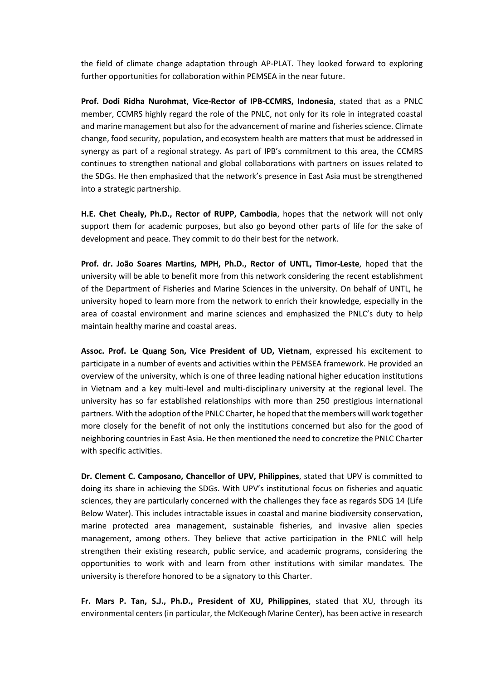the field of climate change adaptation through AP-PLAT. They looked forward to exploring further opportunities for collaboration within PEMSEA in the near future.

**Prof. Dodi Ridha Nurohmat**, **Vice-Rector of IPB-CCMRS, Indonesia**, stated that as a PNLC member, CCMRS highly regard the role of the PNLC, not only for its role in integrated coastal and marine management but also for the advancement of marine and fisheries science. Climate change, food security, population, and ecosystem health are matters that must be addressed in synergy as part of a regional strategy. As part of IPB's commitment to this area, the CCMRS continues to strengthen national and global collaborations with partners on issues related to the SDGs. He then emphasized that the network's presence in East Asia must be strengthened into a strategic partnership.

**H.E. Chet Chealy, Ph.D., Rector of RUPP, Cambodia**, hopes that the network will not only support them for academic purposes, but also go beyond other parts of life for the sake of development and peace. They commit to do their best for the network.

**Prof. dr. João Soares Martins, MPH, Ph.D., Rector of UNTL, Timor-Leste**, hoped that the university will be able to benefit more from this network considering the recent establishment of the Department of Fisheries and Marine Sciences in the university. On behalf of UNTL, he university hoped to learn more from the network to enrich their knowledge, especially in the area of coastal environment and marine sciences and emphasized the PNLC's duty to help maintain healthy marine and coastal areas.

**Assoc. Prof. Le Quang Son, Vice President of UD, Vietnam**, expressed his excitement to participate in a number of events and activities within the PEMSEA framework. He provided an overview of the university, which is one of three leading national higher education institutions in Vietnam and a key multi-level and multi-disciplinary university at the regional level. The university has so far established relationships with more than 250 prestigious international partners. With the adoption of the PNLC Charter, he hoped that the members will work together more closely for the benefit of not only the institutions concerned but also for the good of neighboring countries in East Asia. He then mentioned the need to concretize the PNLC Charter with specific activities.

**Dr. Clement C. Camposano, Chancellor of UPV, Philippines**, stated that UPV is committed to doing its share in achieving the SDGs. With UPV's institutional focus on fisheries and aquatic sciences, they are particularly concerned with the challenges they face as regards SDG 14 (Life Below Water). This includes intractable issues in coastal and marine biodiversity conservation, marine protected area management, sustainable fisheries, and invasive alien species management, among others. They believe that active participation in the PNLC will help strengthen their existing research, public service, and academic programs, considering the opportunities to work with and learn from other institutions with similar mandates. The university is therefore honored to be a signatory to this Charter.

**Fr. Mars P. Tan, S.J., Ph.D., President of XU, Philippines**, stated that XU, through its environmental centers(in particular, the McKeough Marine Center), has been active in research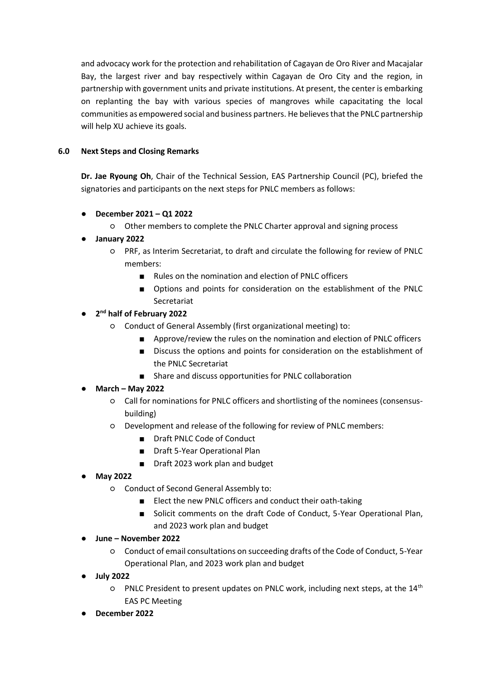and advocacy work for the protection and rehabilitation of Cagayan de Oro River and Macajalar Bay, the largest river and bay respectively within Cagayan de Oro City and the region, in partnership with government units and private institutions. At present, the center is embarking on replanting the bay with various species of mangroves while capacitating the local communities as empowered social and business partners. He believes that the PNLC partnership will help XU achieve its goals.

# **6.0 Next Steps and Closing Remarks**

**Dr. Jae Ryoung Oh**, Chair of the Technical Session, EAS Partnership Council (PC), briefed the signatories and participants on the next steps for PNLC members as follows:

- **December 2021 – Q1 2022**
	- Other members to complete the PNLC Charter approval and signing process
- **January 2022**
	- PRF, as Interim Secretariat, to draft and circulate the following for review of PNLC members:
		- Rules on the nomination and election of PNLC officers
		- Options and points for consideration on the establishment of the PNLC Secretariat

# ● **2 nd half of February 2022**

- Conduct of General Assembly (first organizational meeting) to:
	- Approve/review the rules on the nomination and election of PNLC officers
	- Discuss the options and points for consideration on the establishment of the PNLC Secretariat
	- Share and discuss opportunities for PNLC collaboration

# ● **March – May 2022**

- Call for nominations for PNLC officers and shortlisting of the nominees (consensusbuilding)
- Development and release of the following for review of PNLC members:
	- Draft PNLC Code of Conduct
	- Draft 5-Year Operational Plan
	- Draft 2023 work plan and budget

# ● **May 2022**

- Conduct of Second General Assembly to:
	- Elect the new PNLC officers and conduct their oath-taking
	- Solicit comments on the draft Code of Conduct, 5-Year Operational Plan, and 2023 work plan and budget

# ● **June – November 2022**

- Conduct of email consultations on succeeding drafts of the Code of Conduct, 5-Year Operational Plan, and 2023 work plan and budget
- **July 2022**
	- PNLC President to present updates on PNLC work, including next steps, at the 14th EAS PC Meeting
- **December 2022**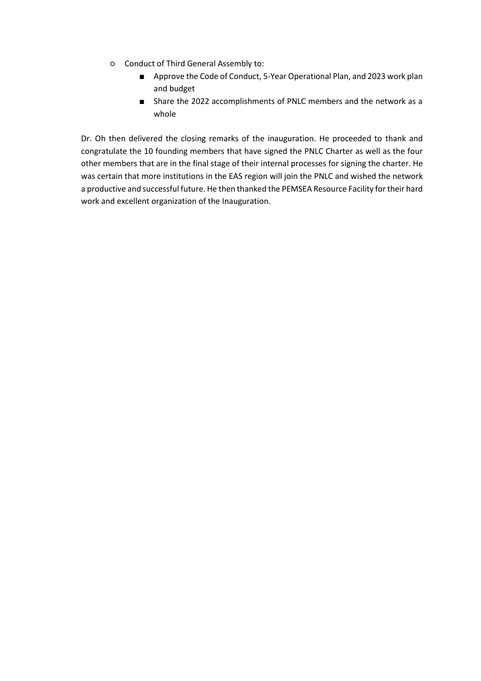- Conduct of Third General Assembly to:
	- Approve the Code of Conduct, 5-Year Operational Plan, and 2023 work plan and budget
	- Share the 2022 accomplishments of PNLC members and the network as a whole

Dr. Oh then delivered the closing remarks of the inauguration. He proceeded to thank and congratulate the 10 founding members that have signed the PNLC Charter as well as the four other members that are in the final stage of their internal processes for signing the charter. He was certain that more institutions in the EAS region will join the PNLC and wished the network a productive and successful future. He then thanked the PEMSEA Resource Facility for their hard work and excellent organization of the Inauguration.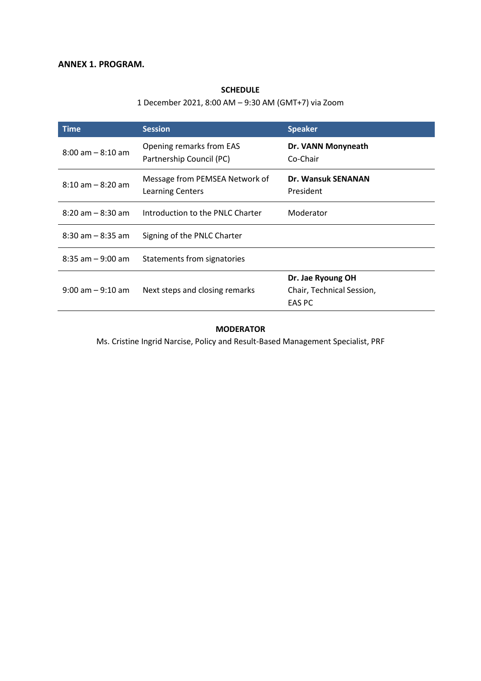# **SCHEDULE**

# 1 December 2021, 8:00 AM – 9:30 AM (GMT+7) via Zoom

| <b>Time</b>          | <b>Session</b>                                            | <b>Speaker</b>                                           |
|----------------------|-----------------------------------------------------------|----------------------------------------------------------|
| $8:00$ am $-8:10$ am | Opening remarks from EAS<br>Partnership Council (PC)      | Dr. VANN Monyneath<br>Co-Chair                           |
| $8:10$ am $-8:20$ am | Message from PEMSEA Network of<br><b>Learning Centers</b> | <b>Dr. Wansuk SENANAN</b><br>President                   |
| $8:20$ am $-8:30$ am | Introduction to the PNLC Charter                          | Moderator                                                |
| $8:30$ am $-8:35$ am | Signing of the PNLC Charter                               |                                                          |
| $8:35$ am $-9:00$ am | Statements from signatories                               |                                                          |
| $9:00$ am $-9:10$ am | Next steps and closing remarks                            | Dr. Jae Ryoung OH<br>Chair, Technical Session,<br>EAS PC |

#### **MODERATOR**

Ms. Cristine Ingrid Narcise, Policy and Result-Based Management Specialist, PRF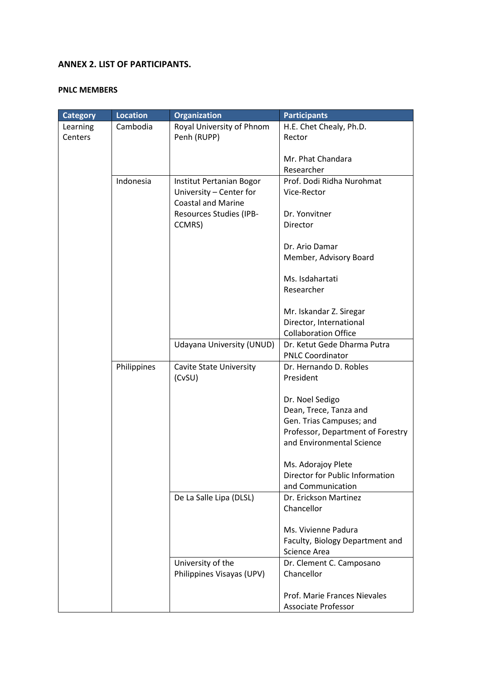# **ANNEX 2. LIST OF PARTICIPANTS.**

## **PNLC MEMBERS**

| <b>Category</b> | <b>Location</b> | <b>Organization</b>       | <b>Participants</b>               |
|-----------------|-----------------|---------------------------|-----------------------------------|
| Learning        | Cambodia        | Royal University of Phnom | H.E. Chet Chealy, Ph.D.           |
| Centers         |                 | Penh (RUPP)               | Rector                            |
|                 |                 |                           |                                   |
|                 |                 |                           | Mr. Phat Chandara                 |
|                 |                 |                           | Researcher                        |
|                 | Indonesia       | Institut Pertanian Bogor  | Prof. Dodi Ridha Nurohmat         |
|                 |                 | University - Center for   | Vice-Rector                       |
|                 |                 | <b>Coastal and Marine</b> |                                   |
|                 |                 | Resources Studies (IPB-   | Dr. Yonvitner                     |
|                 |                 | CCMRS)                    | Director                          |
|                 |                 |                           |                                   |
|                 |                 |                           | Dr. Ario Damar                    |
|                 |                 |                           | Member, Advisory Board            |
|                 |                 |                           |                                   |
|                 |                 |                           | Ms. Isdahartati                   |
|                 |                 |                           | Researcher                        |
|                 |                 |                           |                                   |
|                 |                 |                           | Mr. Iskandar Z. Siregar           |
|                 |                 |                           | Director, International           |
|                 |                 |                           | <b>Collaboration Office</b>       |
|                 |                 | Udayana University (UNUD) | Dr. Ketut Gede Dharma Putra       |
|                 |                 |                           | <b>PNLC Coordinator</b>           |
|                 | Philippines     | Cavite State University   | Dr. Hernando D. Robles            |
|                 |                 | (CvSU)                    | President                         |
|                 |                 |                           |                                   |
|                 |                 |                           | Dr. Noel Sedigo                   |
|                 |                 |                           | Dean, Trece, Tanza and            |
|                 |                 |                           | Gen. Trias Campuses; and          |
|                 |                 |                           | Professor, Department of Forestry |
|                 |                 |                           | and Environmental Science         |
|                 |                 |                           |                                   |
|                 |                 |                           | Ms. Adorajoy Plete                |
|                 |                 |                           | Director for Public Information   |
|                 |                 |                           | and Communication                 |
|                 |                 | De La Salle Lipa (DLSL)   | Dr. Erickson Martinez             |
|                 |                 |                           | Chancellor                        |
|                 |                 |                           |                                   |
|                 |                 |                           | Ms. Vivienne Padura               |
|                 |                 |                           | Faculty, Biology Department and   |
|                 |                 |                           | Science Area                      |
|                 |                 | University of the         | Dr. Clement C. Camposano          |
|                 |                 | Philippines Visayas (UPV) | Chancellor                        |
|                 |                 |                           |                                   |
|                 |                 |                           | Prof. Marie Frances Nievales      |
|                 |                 |                           | <b>Associate Professor</b>        |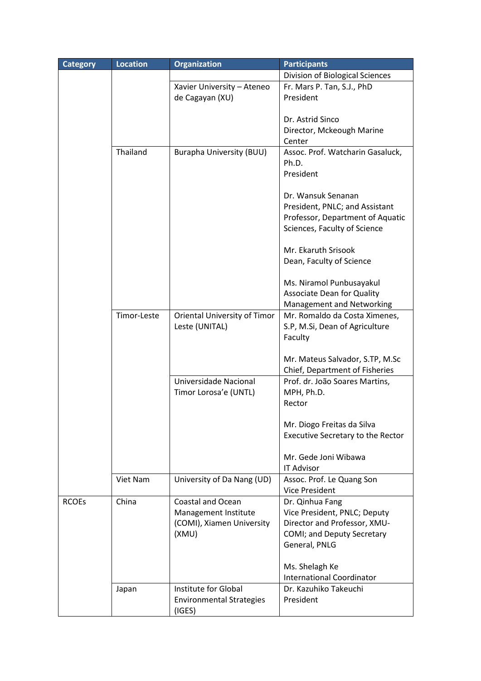| <b>Category</b> | <b>Location</b> | <b>Organization</b>                            | <b>Participants</b>                       |
|-----------------|-----------------|------------------------------------------------|-------------------------------------------|
|                 |                 |                                                | Division of Biological Sciences           |
|                 |                 | Xavier University - Ateneo                     | Fr. Mars P. Tan, S.J., PhD                |
|                 |                 | de Cagayan (XU)                                | President                                 |
|                 |                 |                                                |                                           |
|                 |                 |                                                | Dr. Astrid Sinco                          |
|                 |                 |                                                | Director, Mckeough Marine                 |
|                 |                 |                                                | Center                                    |
|                 | Thailand        | Burapha University (BUU)                       | Assoc. Prof. Watcharin Gasaluck,          |
|                 |                 |                                                | Ph.D.                                     |
|                 |                 |                                                | President                                 |
|                 |                 |                                                |                                           |
|                 |                 |                                                | Dr. Wansuk Senanan                        |
|                 |                 |                                                | President, PNLC; and Assistant            |
|                 |                 |                                                | Professor, Department of Aquatic          |
|                 |                 |                                                | Sciences, Faculty of Science              |
|                 |                 |                                                |                                           |
|                 |                 |                                                | Mr. Ekaruth Srisook                       |
|                 |                 |                                                | Dean, Faculty of Science                  |
|                 |                 |                                                |                                           |
|                 |                 |                                                | Ms. Niramol Punbusayakul                  |
|                 |                 |                                                | <b>Associate Dean for Quality</b>         |
|                 |                 |                                                | Management and Networking                 |
|                 | Timor-Leste     | Oriental University of Timor<br>Leste (UNITAL) | Mr. Romaldo da Costa Ximenes,             |
|                 |                 |                                                | S.P, M.Si, Dean of Agriculture<br>Faculty |
|                 |                 |                                                |                                           |
|                 |                 |                                                | Mr. Mateus Salvador, S.TP, M.Sc           |
|                 |                 |                                                | Chief, Department of Fisheries            |
|                 |                 | Universidade Nacional                          | Prof. dr. João Soares Martins,            |
|                 |                 | Timor Lorosa'e (UNTL)                          | MPH, Ph.D.                                |
|                 |                 |                                                | Rector                                    |
|                 |                 |                                                |                                           |
|                 |                 |                                                | Mr. Diogo Freitas da Silva                |
|                 |                 |                                                | <b>Executive Secretary to the Rector</b>  |
|                 |                 |                                                |                                           |
|                 |                 |                                                | Mr. Gede Joni Wibawa                      |
|                 |                 |                                                | <b>IT Advisor</b>                         |
|                 | Viet Nam        | University of Da Nang (UD)                     | Assoc. Prof. Le Quang Son                 |
|                 |                 |                                                | Vice President                            |
| <b>RCOEs</b>    | China           | <b>Coastal and Ocean</b>                       | Dr. Qinhua Fang                           |
|                 |                 | Management Institute                           | Vice President, PNLC; Deputy              |
|                 |                 | (COMI), Xiamen University                      | Director and Professor, XMU-              |
|                 |                 | (XMU)                                          | COMI; and Deputy Secretary                |
|                 |                 |                                                | General, PNLG                             |
|                 |                 |                                                |                                           |
|                 |                 |                                                | Ms. Shelagh Ke                            |
|                 |                 |                                                | <b>International Coordinator</b>          |
|                 | Japan           | Institute for Global                           | Dr. Kazuhiko Takeuchi                     |
|                 |                 | <b>Environmental Strategies</b>                | President                                 |
|                 |                 | (IGES)                                         |                                           |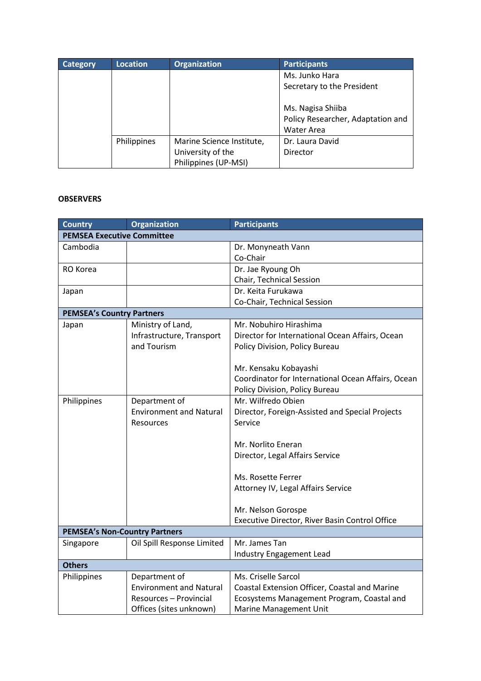| <b>Category</b> | <b>Location</b> | <b>Organization</b>                       | <b>Participants</b>                                    |
|-----------------|-----------------|-------------------------------------------|--------------------------------------------------------|
|                 |                 |                                           | Ms. Junko Hara                                         |
|                 |                 |                                           | Secretary to the President                             |
|                 |                 |                                           | Ms. Nagisa Shiiba<br>Policy Researcher, Adaptation and |
|                 |                 |                                           | Water Area                                             |
|                 | Philippines     | Marine Science Institute,                 | Dr. Laura David                                        |
|                 |                 | University of the<br>Philippines (UP-MSI) | Director                                               |

## **OBSERVERS**

| <b>Country</b>                       | <b>Organization</b>            | <b>Participants</b>                                |
|--------------------------------------|--------------------------------|----------------------------------------------------|
| <b>PEMSEA Executive Committee</b>    |                                |                                                    |
| Cambodia                             |                                | Dr. Monyneath Vann                                 |
|                                      |                                | Co-Chair                                           |
| RO Korea                             |                                | Dr. Jae Ryoung Oh                                  |
|                                      |                                | Chair, Technical Session                           |
| Japan                                |                                | Dr. Keita Furukawa                                 |
|                                      |                                | Co-Chair, Technical Session                        |
| <b>PEMSEA's Country Partners</b>     |                                |                                                    |
| Japan                                | Ministry of Land,              | Mr. Nobuhiro Hirashima                             |
|                                      | Infrastructure, Transport      | Director for International Ocean Affairs, Ocean    |
|                                      | and Tourism                    | Policy Division, Policy Bureau                     |
|                                      |                                | Mr. Kensaku Kobayashi                              |
|                                      |                                | Coordinator for International Ocean Affairs, Ocean |
|                                      |                                | Policy Division, Policy Bureau                     |
| Philippines                          | Department of                  | Mr. Wilfredo Obien                                 |
|                                      | <b>Environment and Natural</b> | Director, Foreign-Assisted and Special Projects    |
|                                      | <b>Resources</b>               | Service                                            |
|                                      |                                |                                                    |
|                                      |                                | Mr. Norlito Eneran                                 |
|                                      |                                | Director, Legal Affairs Service                    |
|                                      |                                |                                                    |
|                                      |                                | Ms. Rosette Ferrer                                 |
|                                      |                                | Attorney IV, Legal Affairs Service                 |
|                                      |                                |                                                    |
|                                      |                                | Mr. Nelson Gorospe                                 |
|                                      |                                | Executive Director, River Basin Control Office     |
| <b>PEMSEA's Non-Country Partners</b> |                                |                                                    |
| Singapore                            | Oil Spill Response Limited     | Mr. James Tan                                      |
|                                      |                                | Industry Engagement Lead                           |
| <b>Others</b>                        |                                |                                                    |
| Philippines                          | Department of                  | Ms. Criselle Sarcol                                |
|                                      | <b>Environment and Natural</b> | Coastal Extension Officer, Coastal and Marine      |
|                                      | Resources - Provincial         | Ecosystems Management Program, Coastal and         |
|                                      | Offices (sites unknown)        | Marine Management Unit                             |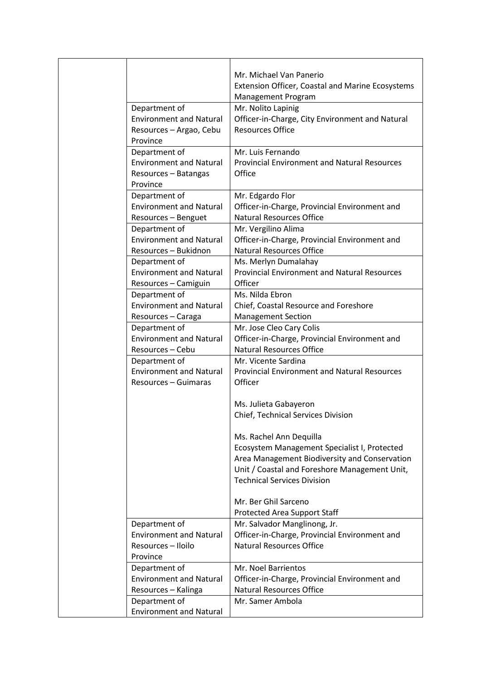|                                                 | Mr. Michael Van Panerio                                                              |
|-------------------------------------------------|--------------------------------------------------------------------------------------|
|                                                 | <b>Extension Officer, Coastal and Marine Ecosystems</b><br><b>Management Program</b> |
| Department of                                   | Mr. Nolito Lapinig                                                                   |
| <b>Environment and Natural</b>                  | Officer-in-Charge, City Environment and Natural                                      |
| Resources - Argao, Cebu                         | <b>Resources Office</b>                                                              |
| Province                                        |                                                                                      |
| Department of                                   | Mr. Luis Fernando                                                                    |
| <b>Environment and Natural</b>                  | <b>Provincial Environment and Natural Resources</b>                                  |
| Resources - Batangas                            | Office                                                                               |
| Province                                        |                                                                                      |
| Department of                                   | Mr. Edgardo Flor                                                                     |
| <b>Environment and Natural</b>                  | Officer-in-Charge, Provincial Environment and                                        |
| Resources - Benguet                             | <b>Natural Resources Office</b>                                                      |
| Department of                                   | Mr. Vergilino Alima                                                                  |
| <b>Environment and Natural</b>                  | Officer-in-Charge, Provincial Environment and                                        |
| Resources - Bukidnon                            | <b>Natural Resources Office</b>                                                      |
| Department of                                   | Ms. Merlyn Dumalahay                                                                 |
| <b>Environment and Natural</b>                  | <b>Provincial Environment and Natural Resources</b>                                  |
| Resources - Camiguin                            | Officer                                                                              |
| Department of                                   | Ms. Nilda Ebron                                                                      |
| <b>Environment and Natural</b>                  | Chief, Coastal Resource and Foreshore                                                |
| Resources - Caraga                              | <b>Management Section</b>                                                            |
| Department of                                   | Mr. Jose Cleo Cary Colis                                                             |
| <b>Environment and Natural</b>                  | Officer-in-Charge, Provincial Environment and                                        |
| Resources - Cebu                                | <b>Natural Resources Office</b>                                                      |
| Department of<br><b>Environment and Natural</b> | Mr. Vicente Sardina<br><b>Provincial Environment and Natural Resources</b>           |
| Resources – Guimaras                            | Officer                                                                              |
|                                                 |                                                                                      |
|                                                 | Ms. Julieta Gabayeron                                                                |
|                                                 | Chief, Technical Services Division                                                   |
|                                                 |                                                                                      |
|                                                 | Ms. Rachel Ann Dequilla                                                              |
|                                                 | Ecosystem Management Specialist I, Protected                                         |
|                                                 | Area Management Biodiversity and Conservation                                        |
|                                                 | Unit / Coastal and Foreshore Management Unit,                                        |
|                                                 | <b>Technical Services Division</b>                                                   |
|                                                 |                                                                                      |
|                                                 | Mr. Ber Ghil Sarceno                                                                 |
|                                                 | Protected Area Support Staff                                                         |
| Department of                                   | Mr. Salvador Manglinong, Jr.                                                         |
| <b>Environment and Natural</b>                  | Officer-in-Charge, Provincial Environment and                                        |
| Resources - Iloilo                              | <b>Natural Resources Office</b>                                                      |
| Province                                        |                                                                                      |
| Department of                                   | Mr. Noel Barrientos                                                                  |
| <b>Environment and Natural</b>                  | Officer-in-Charge, Provincial Environment and                                        |
| Resources - Kalinga                             | <b>Natural Resources Office</b>                                                      |
| Department of                                   | Mr. Samer Ambola                                                                     |
| <b>Environment and Natural</b>                  |                                                                                      |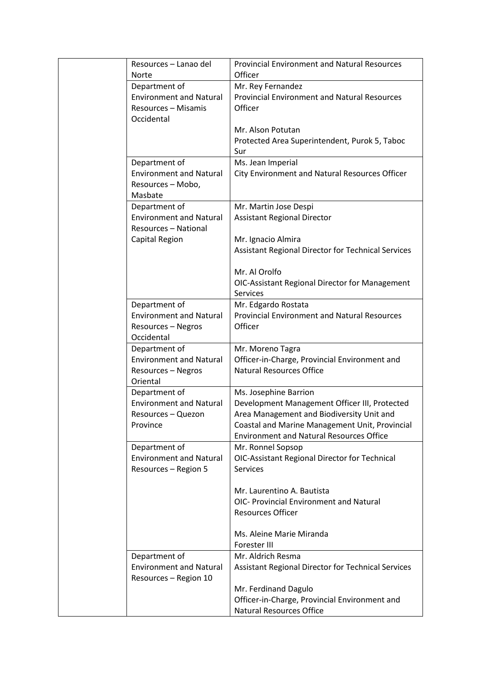| Resources – Lanao del<br><b>Norte</b> | <b>Provincial Environment and Natural Resources</b><br>Officer |
|---------------------------------------|----------------------------------------------------------------|
| Department of                         | Mr. Rey Fernandez                                              |
|                                       |                                                                |
| <b>Environment and Natural</b>        | <b>Provincial Environment and Natural Resources</b>            |
| Resources - Misamis<br>Occidental     | Officer                                                        |
|                                       | Mr. Alson Potutan                                              |
|                                       | Protected Area Superintendent, Purok 5, Taboc                  |
|                                       | Sur                                                            |
| Department of                         | Ms. Jean Imperial                                              |
| <b>Environment and Natural</b>        | City Environment and Natural Resources Officer                 |
| Resources - Mobo,                     |                                                                |
|                                       |                                                                |
| Masbate                               |                                                                |
| Department of                         | Mr. Martin Jose Despi                                          |
| <b>Environment and Natural</b>        | <b>Assistant Regional Director</b>                             |
| Resources - National                  |                                                                |
| Capital Region                        | Mr. Ignacio Almira                                             |
|                                       | Assistant Regional Director for Technical Services             |
|                                       |                                                                |
|                                       | Mr. Al Orolfo                                                  |
|                                       | OIC-Assistant Regional Director for Management                 |
|                                       | <b>Services</b>                                                |
| Department of                         | Mr. Edgardo Rostata                                            |
| <b>Environment and Natural</b>        | <b>Provincial Environment and Natural Resources</b>            |
|                                       | Officer                                                        |
| Resources - Negros                    |                                                                |
| Occidental                            |                                                                |
| Department of                         | Mr. Moreno Tagra                                               |
| <b>Environment and Natural</b>        | Officer-in-Charge, Provincial Environment and                  |
| Resources - Negros                    | <b>Natural Resources Office</b>                                |
| Oriental                              |                                                                |
| Department of                         | Ms. Josephine Barrion                                          |
| <b>Environment and Natural</b>        | Development Management Officer III, Protected                  |
| Resources - Quezon                    | Area Management and Biodiversity Unit and                      |
| Province                              | Coastal and Marine Management Unit, Provincial                 |
|                                       | <b>Environment and Natural Resources Office</b>                |
| Department of                         | Mr. Ronnel Sopsop                                              |
| <b>Environment and Natural</b>        |                                                                |
|                                       | OIC-Assistant Regional Director for Technical                  |
| Resources - Region 5                  | <b>Services</b>                                                |
|                                       |                                                                |
|                                       | Mr. Laurentino A. Bautista                                     |
|                                       | OIC- Provincial Environment and Natural                        |
|                                       | <b>Resources Officer</b>                                       |
|                                       |                                                                |
|                                       | Ms. Aleine Marie Miranda                                       |
|                                       | Forester III                                                   |
| Department of                         | Mr. Aldrich Resma                                              |
| <b>Environment and Natural</b>        | Assistant Regional Director for Technical Services             |
| Resources - Region 10                 |                                                                |
|                                       | Mr. Ferdinand Dagulo                                           |
|                                       | Officer-in-Charge, Provincial Environment and                  |
|                                       | <b>Natural Resources Office</b>                                |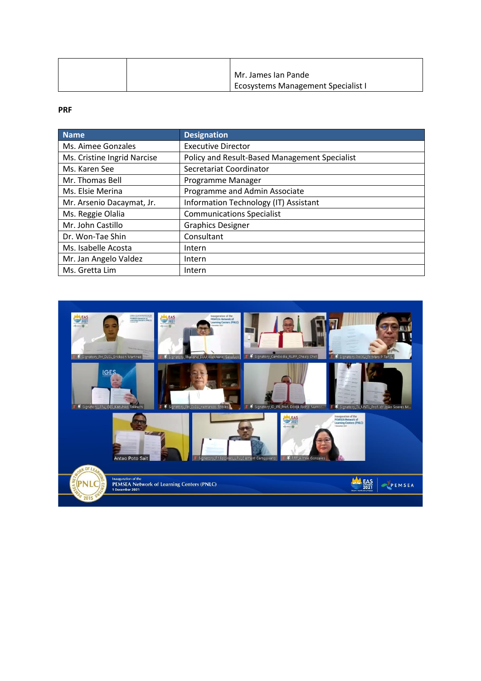|  | Mr. James Ian Pande                       |
|--|-------------------------------------------|
|  | <b>Ecosystems Management Specialist I</b> |

## **PRF**

| <b>Name</b>                 | <b>Designation</b>                            |
|-----------------------------|-----------------------------------------------|
| Ms. Aimee Gonzales          | <b>Executive Director</b>                     |
| Ms. Cristine Ingrid Narcise | Policy and Result-Based Management Specialist |
| Ms. Karen See               | Secretariat Coordinator                       |
| Mr. Thomas Bell             | Programme Manager                             |
| Ms. Elsie Merina            | Programme and Admin Associate                 |
| Mr. Arsenio Dacaymat, Jr.   | Information Technology (IT) Assistant         |
| Ms. Reggie Olalia           | <b>Communications Specialist</b>              |
| Mr. John Castillo           | <b>Graphics Designer</b>                      |
| Dr. Won-Tae Shin            | Consultant                                    |
| Ms. Isabelle Acosta         | Intern                                        |
| Mr. Jan Angelo Valdez       | Intern                                        |
| Ms. Gretta Lim              | Intern                                        |